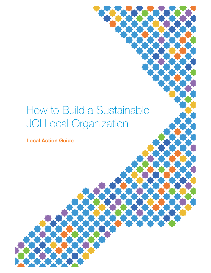# How to Build a Sustainable JCI Local Organization

**Local Action Guide**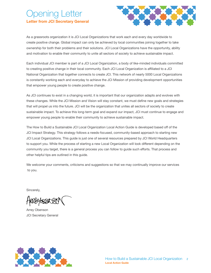# pening Letter **Letter from JCI Secretary General**



As a grassroots organization it is JCI Local Organizations that work each and every day worldwide to create positive change. Global impact can only be achieved by local communities joining together to take ownership for both their problems and their solutions. JCI Local Organizations have the opportunity, ability and motivation to enable their community to unite all sectors of society to achieve sustainable impact.

Each individual JCI member is part of a JCI Local Organization, a body of like-minded individuals committed to creating positive change in their local community. Each JCI Local Organization is afliated to a JCI National Organization that together connects to create JCI. This network of nearly 5000 Local Organizations is constantly working each and everyday to achieve the JCI Mission of providing development opportunities that empower young people to create positive change.

As JCI continues to exist in a changing world, it is important that our organization adapts and evolves with these changes. While the JCI Mission and Vision will stay constant, we must define new goals and strategies that will propel us into the future. JCI will be the organization that unites all sectors of society to create sustainable impact. To achieve this long-term goal and expand our impact, JCI must continue to engage and empower young people to enable their community to achieve sustainable impact.

The How to Build a Sustainable JCI Local Organization Local Action Guide is developed based of of the JCI Impact Strategy. This strategy follows a needs-focused, community-based approach to starting new JCI Local Organizations. This guide is just one of several resources prepared by JCI World Headquarters to support you. While the process of starting a new Local Organization will look diferent depending on the community you target, there is a general process you can follow to guide such eforts. That process and other helpful tips are outlined in this guide.

We welcome your comments, criticisms and suggestions so that we may continually improve our services to you.

Sincerely,

RSAY

Arrey Obenson JCI Secretary General

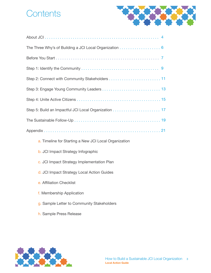# **Contents**



| a. Timeline for Starting a New JCI Local Organization |
|-------------------------------------------------------|
| <b>b. JCI Impact Strategy Infographic</b>             |

- c. JCI Impact Strategy Implementation Plan
- d. JCI Impact Strategy Local Action Guides
- e. Affiliation Checklist
- f. Membership Application
- g. Sample Letter to Community Stakeholders
- h. Sample Press Release

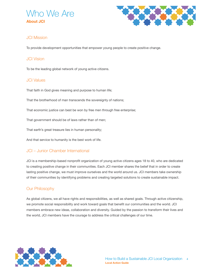



### JCI Mission

To provide development opportunities that empower young people to create positive change.

#### JCI Vision

To be the leading global network of young active citizens.

#### JCI Values

That faith in God gives meaning and purpose to human life;

That the brotherhood of man transcends the sovereignty of nations;

That economic justice can best be won by free men through free enterprise;

That government should be of laws rather than of men;

That earth's great treasure lies in human personality;

And that service to humanity is the best work of life.

### JCI – Junior Chamber International

JCI is a membership-based nonprofit organization of young active citizens ages 18 to 40, who are dedicated to creating positive change in their communities. Each JCI member shares the belief that in order to create lasting positive change, we must improve ourselves and the world around us. JCI members take ownership of their communities by identifying problems and creating targeted solutions to create sustainable impact.

#### Our Philosophy

As global citizens, we all have rights and responsibilities, as well as shared goals. Through active citizenship, we promote social responsibility and work toward goals that beneft our communities and the world. JCI members embrace new ideas, collaboration and diversity. Guided by the passion to transform their lives and the world, JCI members have the courage to address the critical challenges of our time.

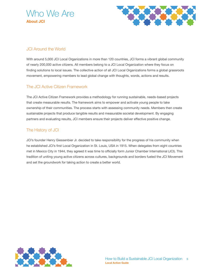



# JCI Around the World

With around 5,000 JCI Local Organizations in more than 120 countries, JCI forms a vibrant global community of nearly 200,000 active citizens. All members belong to a JCI Local Organization where they focus on finding solutions to local issues. The collective action of all JCI Local Organizations forms a global grassroots movement, empowering members to lead global change with thoughts, words, actions and results.

### The JCI Active Citizen Framework

The JCI Active Citizen Framework provides a methodology for running sustainable, needs-based projects that create measurable results. The framework aims to empower and activate young people to take ownership of their communities. The process starts with assessing community needs. Members then create sustainable projects that produce tangible results and measurable societal development. By engaging partners and evaluating results, JCI members ensure their projects deliver efective positive change.

### The History of JCI

JCI's founder Henry Giessenbier Jr. decided to take responsibility for the progress of his community when he established JCI's frst Local Organization in St. Louis, USA in 1915. When delegates from eight countries met in Mexico City in 1944, they agreed it was time to officially form Junior Chamber International (JCI). This tradition of uniting young active citizens across cultures, backgrounds and borders fueled the JCI Movement and set the groundwork for taking action to create a better world.

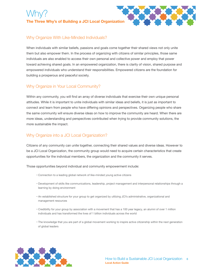# Why? **The Three Why's of Building a JCI Local Organization**



# Why Organize With Like-Minded Individuals?

When individuals with similar beliefs, passions and goals come together their shared views not only unite them but also empower them. In the process of organizing with citizens of similar principles, those same individuals are also enabled to access their own personal and collective power and employ that power toward achieving shared goals. In an empowered organization, there is clarity of vision, shared purpose and empowered individuals who understand their responsibilities. Empowered citizens are the foundation for building a prosperous and peaceful society.

# Why Organize in Your Local Community?

Within any community, you will fnd an array of diverse individuals that exercise their own unique personal attitudes. While it is important to unite individuals with similar ideas and beliefs, it is just as important to connect and learn from people who have difering opinions and perspectives. Organizing people who share the same community will ensure diverse ideas on how to improve the community are heard. When there are more ideas, understanding and perspectives contributed when trying to provide community solutions, the more sustainable the impact.

### Why Organize into a JCI Local Organization?

Citizens of any community can unite together, connecting their shared values and diverse ideas. However to be a JCI Local Organization, the community group would need to acquire certain characteristics that create opportunities for the individual members, the organization and the community it serves.

Those opportunities beyond individual and community empowerment include:

- Connection to a leading global network of like-minded young active citizens
- Development of skills like communications, leadership, project management and interpersonal relationships through a learning by doing environment
- An established structure for your group to get organized by utilizing JCI's administrative, organizational and management resources
- Credibility for your group by association with a movement that has a 100 year legacy, an alumni of over 1 million individuals and has transformed the lives of 1 billion individuals across the world
- The knowledge that you are part of a global movement working to inspire active citizenship within the next generation of global leaders

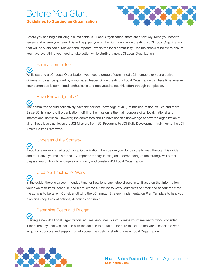# Before You Start **Guidelines to Starting an Organization**



Before you can begin building a sustainable JCI Local Organization, there are a few key items you need to review and ensure you have. This will help put you on the right track while creating a JCI Local Organization that will be sustainable, relevant and impactful within the local community. Use the checklist below to ensure you have everything you need to take action while starting a new JCI Local Organization.

# Form a Committee

 $\sim$ 

 $\checkmark$ 

While starting a JCI Local Organization, you need a group of committed JCI members or young active citizens who can be guided by a motivated leader. Since creating a Local Organization can take time, ensure your committee is committed, enthusiastic and motivated to see this efort through completion.

### Have Knowledge of JCI

The committee should collectively have the correct knowledge of JCI, its mission, vision, values and more. Since JCI is a nonprofit organization, fulfilling the mission is the main purpose of all local, national and international activities. However, the committee should have specifc knowledge of how the organization at all of these levels achieves the JCI Mission, from JCI Programs to JCI Skills Development trainings to the JCI Active Citizen Framework.

# Understand the Strategy

If you have never started a JCI Local Organization, then before you do, be sure to read through this guide and familiarize yourself with the JCI Impact Strategy. Having an understanding of the strategy will better prepare you on how to engage a community and create a JCI Local Organization.

# Create a Timeline for Work

In the guide, there is a recommended time for how long each step should take. Based on that information, your own resources, schedule and team, create a timeline to keep yourselves on track and accountable for the actions to be taken. Consider utilizing the JCI Impact Strategy Implementation Plan Template to help you plan and keep track of actions, deadlines and more.

### Determine Costs and Budget

Starting a new JCI Local Organization requires resources. As you create your timeline for work, consider if there are any costs associated with the actions to be taken. Be sure to include the work associated with acquring sponsors and support to help cover the costs of starting a new Local Organization.

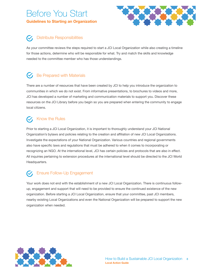# Before You Start **Guidelines to Starting an Organization**



# Distribute Responsibilities

As your committee reviews the steps required to start a JCI Local Organization while also creating a timeline for those actions, determine who will be responsible for what. Try and match the skills and knowledge needed to the committee member who has those understandings.

# $\mathcal{G}$  Be Prepared with Materials

There are a number of resources that have been created by JCI to help you introduce the organization to communities in which we do not exist. From informative presentations, to brochures to videos and more, JCI has developed a number of marketing and communication materials to support you. Discover these resources on the JCI Library before you begin so you are prepared when entering the community to engage local citizens.

# $\sigma$ , Know the Rules

Prior to starting a JCI Local Organization, it is important to thoroughly understand your JCI National Organization's bylaws and policies relating to the creation and afliation of new JCI Local Organizations. Investigate the expectations of your National Organization. Various countries and regional governments also have specifc laws and regulations that must be adhered to when it comes to incorporating or recognizing an NGO. At the international level, JCI has certain policies and protocols that are also in efect. All inquiries pertaining to extension procedures at the international level should be directed to the JCI World Headquarters.

# Ensure Follow-Up Engagement

Your work does not end with the establishment of a new JCI Local Organization. There is continuous followup, engagement and support that will need to be provided to ensure the continued existence of the new organization. Before starting a JCI Local Organization, ensure that your committee, past JCI members, nearby existing Local Organizations and even the National Organization will be prepared to support the new organization when needed.

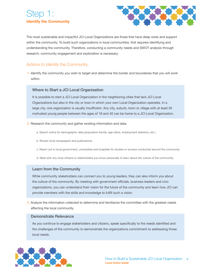# Step 1: **Identify the Community**



The most sustainable and impactful JCI Local Organizations are those that have deep roots and support within the community. To build such organizations in local communities, frst requires identifying and understanding the community. Therefore, conducting a community needs and SWOT analysis through research, community engagement and exploration is necessary.

### Actions to Identify the Community:

1. Identify the community you wish to target and determine the border and boundaries that you will work within.

#### Where to Start a JCI Local Organization

It is possible to start a JCI Local Organization in the neighboring cities that lack JCI Local Organizations but also in the city or town in which your own Local Organization operates. In a large city, one organization is usually insufficient. Any city, suburb, town or village with at least 50 motivated young people between the ages of 18 and 40 can be home to a JCI Local Organization.

- 2. Research the community and gather existing information and data.
	- a. Search online for demographic data (population trends, age ratios, employment statistics, etc.)
	- b. Review local newspapers and publications.
	- c. Reach out to local government, universities and hospitals for studies or surveys conducted around the community.
	- d. Meet with any local citizens or stakeholders you know personally to learn about the culture of the community.

#### Learn from the Community

While community stakeholders can connect you to young leaders, they can also inform you about the culture of the community. By meeting with government officials, business leaders and civic organizations, you can understand their vision for the future of the community and learn how JCI can provide members with the skills and knowledge to fulfill such a vision.

3. Analyze the information collected to determine and familiarize the committee with the greatest needs afecting the local community.

#### Demonstrate Relevance

As you continue to engage stakeholders and citizens, speak specifcally to the needs identifed and the challenges of the community to demonstrate the organizations commitment to addressing those local needs.

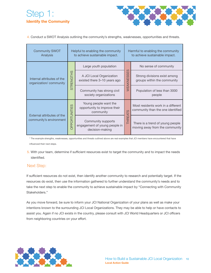# Step 1: **Identify the Community**



4. Conduct a SWOT Analysis outlining the community's strengths, weaknesses, opportunities and threats.

| <b>Community SWOT</b><br>Analysis                     | Helpful to enabling the community<br>to achieve sustainable impact. |                                                                        | Harmful to enabling the community<br>to achieve sustainable impact. |                                                                         |  |
|-------------------------------------------------------|---------------------------------------------------------------------|------------------------------------------------------------------------|---------------------------------------------------------------------|-------------------------------------------------------------------------|--|
| Internal attributes of the<br>organization/community  | <b>STRENGTHS</b>                                                    | Large youth population                                                 | ၯ<br>SSE<br>S<br>WEAKNE                                             | No sense of community                                                   |  |
|                                                       |                                                                     | A JCI Local Organization<br>existed there 3-10 years ago               |                                                                     | Strong divisions exist among<br>groups within the community             |  |
|                                                       |                                                                     | Community has strong civil<br>society organizations                    |                                                                     | Population of less than 3000<br>people                                  |  |
| External attributes of the<br>community's environment | ၯ<br>OPPORTUNITIE                                                   | Young people want the<br>opportunity to improve their<br>community     | <b>THREATS</b>                                                      | Most residents work in a different<br>community than the one identified |  |
|                                                       |                                                                     | Community supports<br>engagement of young people in<br>decision-making |                                                                     | There is a trend of young people<br>moving away from the community      |  |

\* The example strengths, weaknesses, opportunities and threats outlined above are real examples that JCI members have encountered that have infuenced their next steps.

5. With your team, determine if sufficient resources exist to target the community and to impact the needs identifed.

#### Next Step:

If sufficient resources do not exist, then identify another community to research and potentially target. If the resources do exist, then use the information gathered to further understand the community's needs and to take the next step to enable the community to achieve sustainable impact by "Connecting with Community Stakeholders."

As you move forward, be sure to inform your JCI National Organization of your plans as well as make your intentions known to the surrounding JCI Local Organizations. They may be able to help or have contacts to assist you. Again if no JCI exists in the country, please consult with JCI World Headquarters or JCI officers from neighboring countries on your effort.

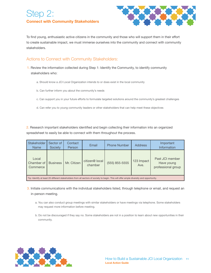# Step 2: **Connect with Community Stakeholders**



To find young, enthusiastic active citizens in the community and those who will support them in their effort to create sustainable impact, we must immerse ourselves into the community and connect with community stakeholders.

### Actions to Connect with Community Stakeholders:

- 1. Review the information collected during Step 1: Identify the Community, to identify community stakeholders who:
	- a. Should know a JCI Local Organization intends to or does exist in the local community
	- b. Can further inform you about the community's needs
	- c. Can support you in your future eforts to formulate targeted solutions around the community's greatest challenges
	- d. Can refer you to young community leaders or other stakeholders that can help meet these objectives

2. Research important stakeholders identifed and begin collecting their information into an organized spreadsheet to easily be able to connect with them throughout the process.

| <b>Stakeholder</b><br><b>Name</b>                                                                                                       | Sector of<br><b>Society</b> | Contact<br>Person | Email                     | <b>Phone Number</b> | <b>Address</b>     | Important<br>Information                            |
|-----------------------------------------------------------------------------------------------------------------------------------------|-----------------------------|-------------------|---------------------------|---------------------|--------------------|-----------------------------------------------------|
| Local<br>Chamber of<br>Commerce                                                                                                         | <b>Business</b>             | Mr. Citizen       | citizen@ local<br>chamber | (555) 855-5555      | 123 Impact<br>Ave. | Past JCI member<br>Have young<br>professional group |
| Tip: Identify at least 20 different stakeholders from all sectors of society to begin. This will offer ample diversity and opportunity. |                             |                   |                           |                     |                    |                                                     |

3. Initiate communications with the individual stakeholders listed, through telephone or email, and request an in-person meeting.

- a. You can also conduct group meetings with similar stakeholders or have meetings via telephone. Some stakeholders may request more information before meeting.
- b. Do not be discouraged if they say no. Some stakeholders are not in a position to learn about new opportunities in their community.

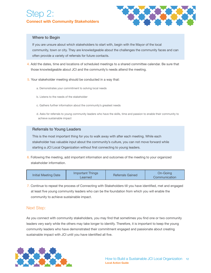

#### Where to Begin

If you are unsure about which stakeholders to start with, begin with the Mayor of the local community, town or city. They are knowledgeable about the challenges the community faces and can often provide a variety of referrals for future contacts.

- 4. Add the dates, time and locations of scheduled meetings to a shared committee calendar. Be sure that those knowledgeable about JCI and the community's needs attend the meeting.
- 5. Your stakeholder meeting should be conducted in a way that:
	- a. Demonstrates your commitment to solving local needs
	- b. Listens to the needs of the stakeholder
	- c. Gathers further information about the community's greatest needs
	- d. Asks for referrals to young community leaders who have the skills, time and passion to enable their community to achieve sustainable impact

#### Referrals to Young Leaders

This is the most important thing for you to walk away with after each meeting. While each stakeholder has valuable input about the community's culture, you can not move forward while starting a JCI Local Organization without first connecting to young leaders.

6. Following the meeting, add important information and outcomes of the meeting to your organized stakeholder information.

| Initial Meeting Date | Important Things<br>Learned | <b>Referrals Gained</b> | On-Going<br>Communication |
|----------------------|-----------------------------|-------------------------|---------------------------|
|----------------------|-----------------------------|-------------------------|---------------------------|

7. Continue to repeat the process of Connecting with Stakeholders till you have identifed, met and engaged at least five young community leaders who can be the foundation from which you will enable the community to achieve sustainable impact.

#### Next Step:

As you connect with community stakeholders, you may find that sometimes you find one or two community leaders very early while the others may take longer to identify. Therefore, it is important to keep the young community leaders who have demonstrated their commitment engaged and passionate about creating sustainable impact with JCI until you have identified all five.

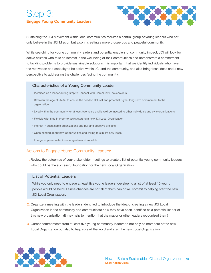# Step 3: **Engage Young Community Leaders**



Sustaining the JCI Movement within local communities requires a central group of young leaders who not only believe in the JCI Mission but also in creating a more prosperous and peaceful community.

While searching for young community leaders and potential enablers of community impact, JCI will look for active citizens who take an interest in the well being of their communities and demonstrate a commitment to tackling problems to provide sustainable solutions. It is important that we identify individuals who have the motivation and capacity to be active within JCI and the community, and also bring fresh ideas and a new perspective to addressing the challenges facing the community.

#### Characteristics of a Young Community Leader

- Identifed as a leader during Step 2: Connect with Community Stakeholders
- Between the age of 25–32 to ensure the needed skill set and potential 8-year long-term commitment to the organization
- Lived within the community for at least two years and is well connected to other individuals and civic organizations
- Flexible with time in order to assist starting a new JCI Local Organization
- Interest in sustainable organizations and building efective projects
- Open minded about new opportunities and willing to explore new ideas
- Energetic, passionate, knowledgeable and sociable

### Actions to Engage Young Community Leaders:

1. Review the outcomes of your stakeholder meetings to create a list of potential young community leaders who could be the successful foundation for the new Local Organization.

#### List of Potential Leaders

While you only need to engage at least five young leaders, developing a list of at least 10 young people would be helpful since chances are not all of them can or will commit to helping start the new JCI Local Organization.

- 2. Organize a meeting with the leaders identifed to introduce the idea of creating a new JCI Local Organization in the community and communicate how they have been identifed as a potential leader of this new organization. (It may help to mention that the mayor or other leaders recognized them)
- 3. Garner commitments from at least five young community leaders to not only be members of the new Local Organization but also to help spread the word and start the new Local Organization.

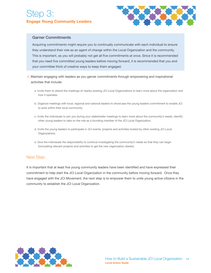

#### Garner Commitments

Acquiring commitments might require you to continually communicate with each individual to ensure they understand their role as an agent of change within the Local Organization and the community. This is important, as you will probably not get all fve commitments at once. Since it is recommended that you need five committed young leaders before moving forward, it is recommended that you and your committee think of creative ways to keep them engaged.

- 4. Maintain engaging with leaders as you garner commitments through empowering and inspirational activities that include:
	- a. Invite them to attend the meetings of nearby existing JCI Local Organizations to learn more about the organization and how it operates.
	- b. Organize meetings with local, regional and national leaders to showcase the young leaders commitment to enable JCI to exist within their local community.
	- c. Invite the individuals to join you during your stakeholder meetings to learn more about the community's needs, identify other young leaders to take on the role as a founding member of the JCI Local Organization.
	- d. Invite the young leaders to participate in JCI events, projects and activities hosted by other existing JCI Local Organizations.
	- e. Give the individuals the responsibility to continue investigating the community's needs so that they can begin formulating relevant projects and activities to get the new organization started.

#### Next Step:

It is important that at least fve young community leaders have been identifed and have expressed their commitment to help start the JCI Local Organization in the community before moving forward. Once they have engaged with the JCI Movement, the next step is to empower them to unite young active citizens in the community to establish the JCI Local Organization.

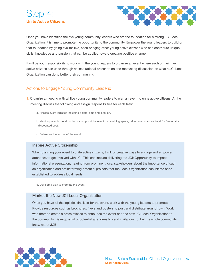# ten 4: **Unite Active Citizens**



Once you have identified the five young community leaders who are the foundation for a strong JCI Local Organization, it is time to promote the opportunity to the community. Empower the young leaders to build on that foundation by going fve-for-fve, each bringing other young active citizens who can contribute unique skills, knowledge and passion that can be applied toward creating positive change.

It will be your responsibility to work with the young leaders to organize an event where each of their five active citizens can unite through an inspirational presentation and motivating discussion on what a JCI Local Organization can do to better their community.

### Actions to Engage Young Community Leaders:

- 1. Organize a meeting with all five young community leaders to plan an event to unite active citizens. At the meeting discuss the following and assign responsibilities for each task:
	- a. Finalize event logistics including a date, time and location.
	- b. Identify potential vendors that can support the event by providing space, refreshments and/or food for free or at a discounted cost.
	- c. Determine the format of the event.

#### Inspire Active Citizenship

When planning your event to unite active citizens, think of creative ways to engage and empower attendees to get involved with JCI. This can include delivering the JCI: Opportunity to Impact informational presentation, hearing from prominent local stakeholders about the importance of such an organization and brainstorming potential projects that the Local Organization can initiate once established to address local needs.

d. Develop a plan to promote the event.

#### Market the New JCI Local Organization

Once you have all the logistics fnalized for the event, work with the young leaders to promote. Provide resources such as brochures, fyers and posters to post and distribute around town. Work with them to create a press release to announce the event and the new JCI Local Organization to the community. Develop a list of potential attendees to send invitations to. Let the whole community know about JCI!

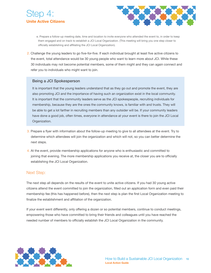



- e. Prepare a follow-up meeting date, time and location to invite everyone who attended the event to, in order to keep them engaged and on track to establish a JCI Local Organization. (This meeting will bring you one step closer to officially establishing and affiliating the JCI Local Organization).
- 2. Challenge the young leaders to go fve-for-fve. If each individual brought at least fve active citizens to the event, total attendance would be 30 young people who want to learn more about JCI. While these 30 individuals may not become potential members, some of them might and they can again connect and refer you to individuals who might want to join.

#### Being a JCI Spokesperson

It is important that the young leaders understand that as they go out and promote the event, they are also promoting JCI and the importance of having such an organization exist in the local community. It is important that the community leaders serve as the JCI spokespeople, recruiting individuals for membership, because they are the ones the community knows, is familiar with and trusts. They will be able to get a lot farther in recruiting members than any outsider will be. If your community leaders have done a good job, often times, everyone in attendance at your event is there to join the JCI Local Organization.

- 3. Prepare a fyer with information about the follow-up meeting to give to all attendees at the event. Try to determine which attendees will join the organization and which will not, so you can better determine the next steps.
- 4. At the event, provide membership applications for anyone who is enthusiastic and committed to joining that evening. The more membership applications you receive at, the closer you are to officially establishing the JCI Local Organization.

#### Next Step:

The next step all depends on the results of the event to unite active citizens. If you had 30 young active citizens attend the event committed to join the organization, flled out an application form and even paid their membership fee (this has happened before), then the next step is plan the frst Local Organization meeting to finalize the establishment and affiliation of the organization.

If your event went diferently, only ofering a dozen or so potential members, continue to conduct meetings, empowering those who have committed to bring their friends and colleagues until you have reached the needed number of members to officially establish the JCI Local Organization in the community.

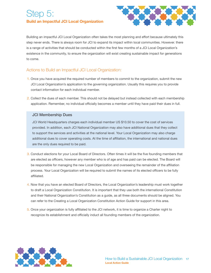# Step 5: **Build an Impactful JCI Local Organization**



Building an impactful JCI Local Organization often takes the most planning and efort because ultimately this step never ends. There is always room for JCI to expand its impact within local communities. However. there is a range of activities that should be conducted within the frst few months of a JCI Local Organization's existence in the community, to ensure the organization will exist creating sustainable impact for generations to come.

### Actions to Build an Impactful JCI Local Organization:

- 1. Once you have acquired the required number of members to commit to the organization, submit the new JCI Local Organization's application to the governing organization. Usually this requires you to provide contact information for each individual member.
- 2. Collect the dues of each member. This should not be delayed but instead collected with each membership application. Remember, no individual officially becomes a member until they have paid their dues in full.

#### JCI Membership Dues

JCI World Headquarters charges each individual member US \$10.50 to cover the cost of services provided. In addition, each JCI National Organization may also have additional dues that they collect to support the services and activities at the national level. Your Local Organization may also charge additional dues to cover operating costs. At the time of afliation, the international and national dues are the only dues required to be paid.

- 3. Conduct elections for your Local Board of Directors. Often times it will be the fve founding members that are elected as officers, however any member who is of age and has paid can be elected. The Board will be responsible for managing the new Local Organization and overseeing the remainder of the afliation process. Your Local Organization will be required to submit the names of its elected officers to be fully affiliated.
- 4. Now that you have an elected Board of Directors, the Local Organization's leadership must work together to draft a Local Organization Constitution. It is important that they use both the international Constitution and their National Organization's Constitution as a guide, as all three documents should be aligned. You can refer to the Creating a Local Organization Constitution Action Guide for support in this area.
- 5. Once your organization is fully afliated to the JCI network, it is time to organize a Charter night to recognize its establishment and officially induct all founding members of the organization.

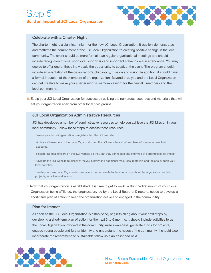# Step 5: **Build an Impactful JCI Local Organization**



#### Celebrate with a Charter Night

The charter night is a signifcant night for the new JCI Local Organization. It publicly demonstrates and reaffirms the commitment of the JCI Local Organization to creating positive change in the local community. The event should be more formal than regular organizational meetings and should include recognition of local sponsors, supporters and important stakeholders in attendance. You may decide to offer one of these individuals the opportunity to speak at the event. The program should include an orientation of the organization's philosophy, mission and vision. In addition, it should have a formal induction of the members of the organization. Beyond that, you and the Local Organization can get creative to make your charter night a memorable night for the new JCI members and the local community.

6. Equip your JCI Local Organization for success by utilizing the numerous resources and materials that will set your organization apart from other local civic groups.

#### JCI Local Organization Administrative Resources

JCI has developed a number of administrative resources to help you achieve the JCI Mission in your local community. Follow these steps to access these resources:

- Ensure your Local Organization is registered on the JCI Website.
- Activate all members of the Local Organization on the JCI Website and inform them of how to access their accounts.
- Register all local officers on the JCI Website so they can stay connected and informed of opportunities for impact.
- Navigate the JCI Website to discover the JCI Library and additional resources, materials and tools to support your local activities.
- Create your own Local Organization website to communicate to the community about the organization and its projects, activities and events.
- 7. Now that your organization is established, it is time to get to work. Within the frst month of your Local Organization being afliated, the organization, led by the Local Board of Directors, needs to develop a short-term plan of action to keep the organization active and engaged in the communitity.

#### Plan for Impact

As soon as the JCI Local Organization is established, begin thinking about your next steps by developing a short-term plan of action for the next 3 to 6 months. It should include activities to get the Local Organization involved in the community, raise awareness, generate funds for projects, engage young people and further identify and understand the needs of the community. It should also incorporate the recommended sustainable follow up plan described next.

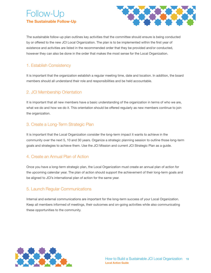# Follow-Up **The Sustainable Follow-Up**



The sustainable follow-up plan outlines key activities that the committee should ensure is being conducted by or offered to the new JCI Local Organization. The plan is to be implemented within the first year of existence and activities are listed in the recommended order that they be provided and/or conducted, however they can also be done in the order that makes the most sense for the Local Organization.

### 1. Establish Consistency

It is important that the organization establish a regular meeting time, date and location. In addition, the board members should all understand their role and responsibilities and be held accountable.

### 2. JCI Membership Orientation

It is important that all new members have a basic understanding of the organization in terms of who we are, what we do and how we do it. This orientation should be offered regularly as new members continue to join the organization.

### 3. Create a Long-Term Strategic Plan

It is important that the Local Organization consider the long-term impact it wants to achieve in the community over the next 5, 10 and 30 years. Organize a strategic planning session to outline those long-term goals and strategies to achieve them. Use the JCI Mission and current JCI Strategic Plan as a guide.

### 4. Create an Annual Plan of Action

Once you have a long-term strategic plan, the Local Organization must create an annual plan of action for the upcoming calendar year. The plan of action should support the achievement of their long-term goals and be aligned to JCI's international plan of action for the same year.

### 5. Launch Regular Communications

Internal and external communications are important for the long-term success of your Local Organization. Keep all members informed of meetings, their outcomes and on-going activities while also communicating these opportunities to the community.

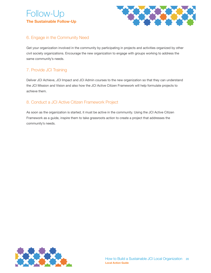# Follow-Up **The Sustainable Follow-Up**



# 6. Engage in the Community Need

Get your organization involved in the community by participating in projects and activities organized by other civil society organizations. Encourage the new organization to engage with groups working to address the same community's needs.

# 7. Provide JCI Training

Deliver JCI Achieve, JCI Impact and JCI Admin courses to the new organization so that they can understand the JCI Mission and Vision and also how the JCI Active Citizen Framework will help formulate projects to achieve them.

# 8. Conduct a JCI Active Citizen Framework Project

As soon as the organization is started, it must be active in the community. Using the JCI Active Citizen Framework as a guide, inspire them to take grassroots action to create a project that addresses the community's needs.